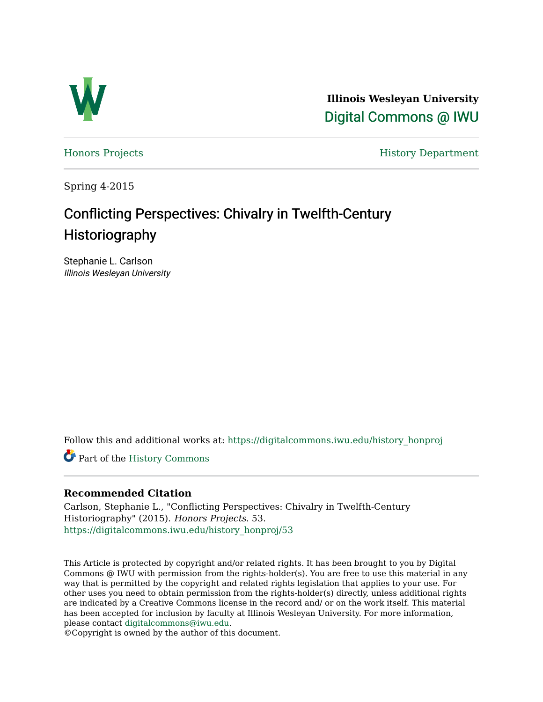

**Illinois Wesleyan University**  [Digital Commons @ IWU](https://digitalcommons.iwu.edu/) 

[Honors Projects](https://digitalcommons.iwu.edu/history_honproj) **History Department** 

Spring 4-2015

# Conflicting Perspectives: Chivalry in Twelfth-Century **Historiography**

Stephanie L. Carlson Illinois Wesleyan University

Follow this and additional works at: [https://digitalcommons.iwu.edu/history\\_honproj](https://digitalcommons.iwu.edu/history_honproj?utm_source=digitalcommons.iwu.edu%2Fhistory_honproj%2F53&utm_medium=PDF&utm_campaign=PDFCoverPages) 

Part of the [History Commons](http://network.bepress.com/hgg/discipline/489?utm_source=digitalcommons.iwu.edu%2Fhistory_honproj%2F53&utm_medium=PDF&utm_campaign=PDFCoverPages)

#### **Recommended Citation**

Carlson, Stephanie L., "Conflicting Perspectives: Chivalry in Twelfth-Century Historiography" (2015). Honors Projects. 53. [https://digitalcommons.iwu.edu/history\\_honproj/53](https://digitalcommons.iwu.edu/history_honproj/53?utm_source=digitalcommons.iwu.edu%2Fhistory_honproj%2F53&utm_medium=PDF&utm_campaign=PDFCoverPages) 

This Article is protected by copyright and/or related rights. It has been brought to you by Digital Commons @ IWU with permission from the rights-holder(s). You are free to use this material in any way that is permitted by the copyright and related rights legislation that applies to your use. For other uses you need to obtain permission from the rights-holder(s) directly, unless additional rights are indicated by a Creative Commons license in the record and/ or on the work itself. This material has been accepted for inclusion by faculty at Illinois Wesleyan University. For more information, please contact [digitalcommons@iwu.edu.](mailto:digitalcommons@iwu.edu)

©Copyright is owned by the author of this document.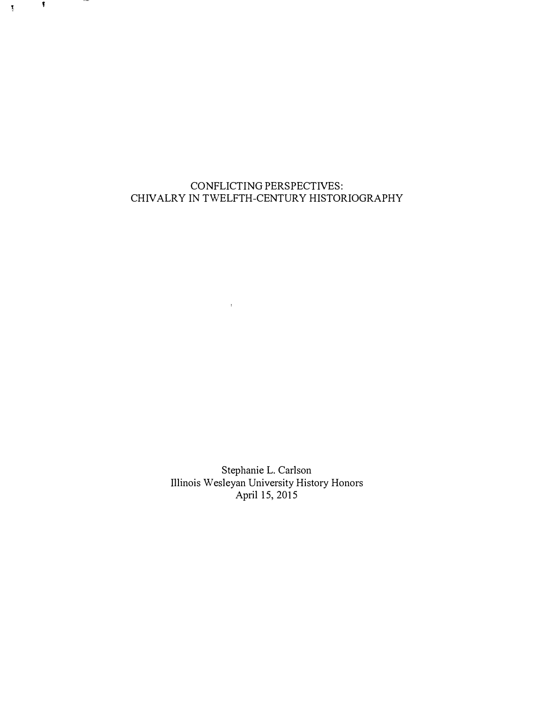## CONFLICTING PERSPECTIVES: CHIVALRY IN TWELFTH-CENTURY HISTORIOGRAPHY

 $\mathcal{L}_{\mathcal{D}}$ 

Stephanie L. Carlson Illinois Wesleyan University History Honors April 15, 2015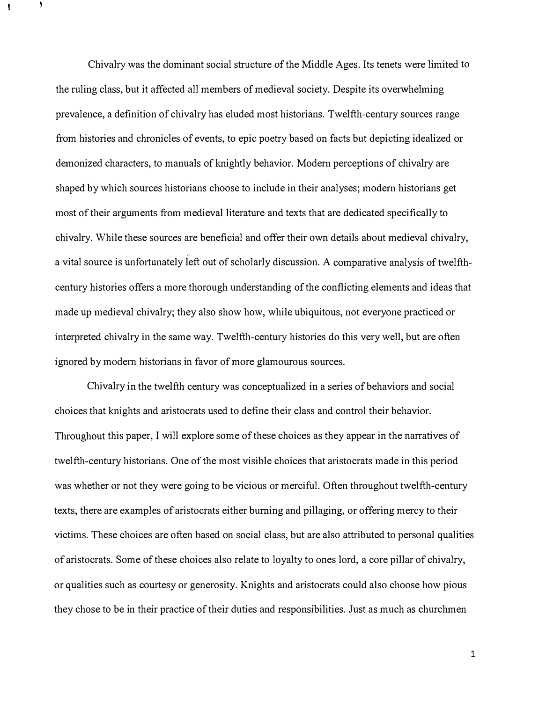Chivahy was the dominant social structure of the Middle Ages. Its tenets were limited to the ruling class, but it affected all members of medieval society. Despite its overwhelming prevalence, a definition of chivalry has eluded most historians. Twelfth-century sources range from histories and chronicles of events, to epic poetry based on facts but depicting idealized or demonized characters, to manuals of knightly behavior. Modem perceptions of chivalry are shaped by which sources historians choose to include in their analyses; modem historians get most of their arguments from medieval literature and texts that are dedicated specifically to chivalry. While these sources are beneficial and offer their own details about medieval chivalry, a vital source is unfortunately left out of scholarly discussion. A comparative analysis of twelfthcentury histories offers a more thorough understanding of the conflicting elements and ideas that made up medieval chivalry; they also show how, while ubiquitous, not everyone practiced or interpreted chivalry in the same way. Twelfth-centmy histories do this very well, but are often ignored by modem historians in favor of more glamourous sources.

Chivalry in the twelfth century was conceptualized in a series of behaviors and social choices that knights and aristocrats used to define their class and control their behavior. Throughout this paper, I will explore some of these choices as they appear in the narratives of twelfth-century historians. One of the most visible choices that aristocrats made in this period was whether or not they were going to be vicious or merciful. Often throughout twelfth-century texts, there are examples of aristocrats either burning and pillaging, or offering mercy to their victims. These choices are often based on social class, but are also attributed to personal qualities of aristocrats. Some of these choices also relate to loyalty to ones lord, a core pillar of chivalry, or qualities such as courtesy or generosity. Knights and aristocrats could also choose how pious they chose to be in their practice of their duties and responsibilities. Just as much as churchmen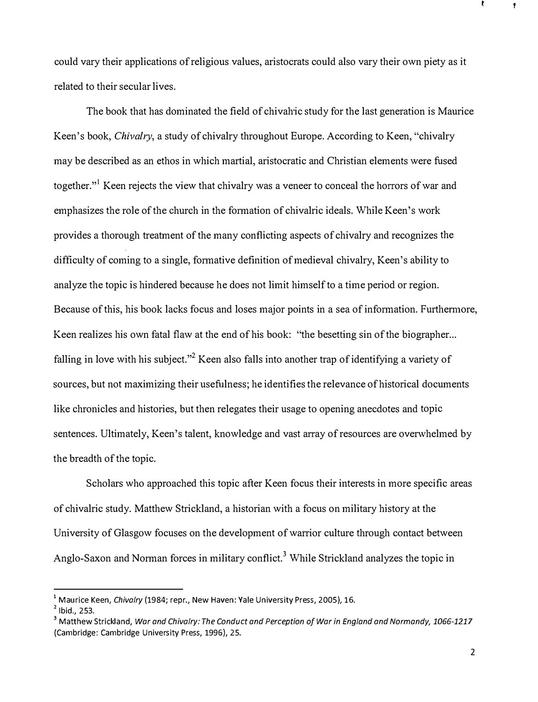could vary their applications of religious values, aristocrats could also vary their own piety as it related to their secular lives.

The book that has dominated the field of chivahic study for the last generation is Maurice Keen's book, Chivalry, a study of chivalry throughout Europe. According to Keen, "chivalry may be described as an ethos in which martial, aristocratic and Christian elements were fused together."<sup>1</sup> Keen rejects the view that chivalry was a veneer to conceal the horrors of war and emphasizes the role of the church in the fonnation of chivalric ideals. While Keen's work provides a thorough treatment of the many conflicting aspects of chivalry and recognizes the difficulty of coming to a single, fonnative definition of medieval chivalry, Keen's ability to analyze the topic is hindered because he does not limit himself to a time period or region. Because of this, his book lacks focus and loses major points in a sea of information. Furthermore, Keen realizes his own fatal flaw at the end of his book: "the besetting sin of the biographer... falling in love with his subject."<sup>2</sup> Keen also falls into another trap of identifying a variety of sources, but not maximizing their usefulness; he identifies the relevance of historical documents like chronicles and histories, but then relegates their usage to opening anecdotes and topic sentences. Ultimately, Keen's talent, knowledge and vast array of resources are overwhelmed by the breadth of the topic.

Scholars who approached this topic after Keen focus their interests in more specific areas of chivalric study. Matthew Strickland, a historian with a focus on military history at the University of Glasgow focuses on the development of warrior culture through contact between Anglo-Saxon and Norman forces in military conflict.<sup>3</sup> While Strickland analyzes the topic in

<sup>&</sup>lt;sup>1</sup> Maurice Keen, *Chivalry* (1984; repr., New Haven: Yale University Press, 2005), 16.

 $<sup>2</sup>$  Ibid., 253.</sup>

<sup>&</sup>lt;sup>3</sup> Matthew Strickland, War and Chivalry: The Conduct and Perception of War in England and Normandy, 1066-1217 (Cambridge: Cambridge University Press, 1996), 25.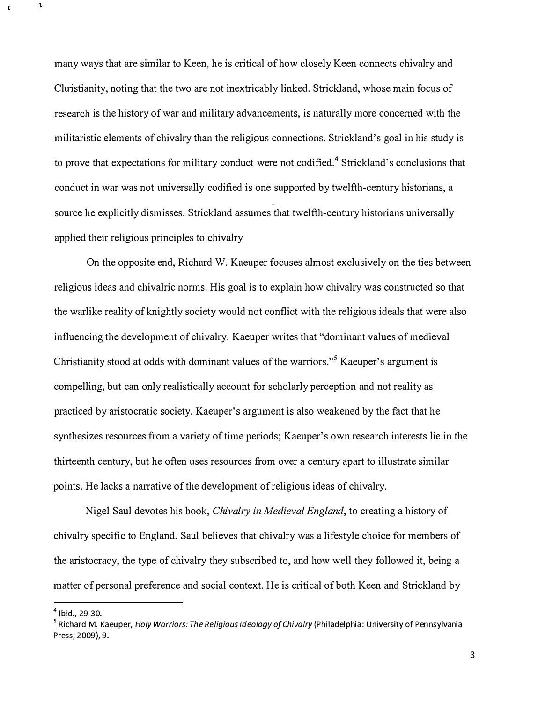many ways that are similar to Keen, he is critical of how closely Keen connects chivalry and Cluistianity, noting that the two are not inextricably linked. Strickland, whose main focus of research is the history of war and military advancements, is naturally more concerned with the militaristic elements of chivalry than the religious connections. Strickland's goal in his study is to prove that expectations for military conduct were not codified.<sup>4</sup> Strickland's conclusions that conduct in war was not universally codified is one supported by twelfth-century historians, a source he explicitly dismisses. Strickland assumes that twelfth-century historians universally applied their religious principles to chivalry

On the opposite end, Richard W. Kaeuper focuses almost exclusively on the ties between religious ideas and chivalric norms. His goal is to explain how chivalry was constmcted so that the warlike reality of knightly society would not conflict with the religious ideals that were also influencing the development of chivalry. Kaeuper writes that "dominant values of medieval Christianity stood at odds with dominant values of the warriors."<sup>5</sup> Kaeuper's argument is compelling, but can only realistically account for scholarly perception and not reality as practiced by aristocratic society. Kaeuper's argument is also weakened by the fact that he synthesizes resources from a variety of time periods; Kaeuper's own research interests lie in the thirteenth century, but he often uses resources from over a century apart to illustrate similar points. He lacks a narrative of the development of religious ideas of chivalry.

Nigel Saul devotes his book, Chivalry in Medieval England, to creating a history of chivalry specific to England. Saul believes that chivalry was a lifestyle choice for members of the aristocracy, the type of chivalry they subscribed to, and how well they followed it, being a matter of personal preference and social context. He is critical of both Keen and Strickland by

 $4$  Ibid., 29-30.

<sup>&</sup>lt;sup>5</sup> Richard M. Kaeuper, Holy Warriors: The Religious Ideology of Chivalry (Philadelphia: University of Pennsylvania Press, 2009), 9.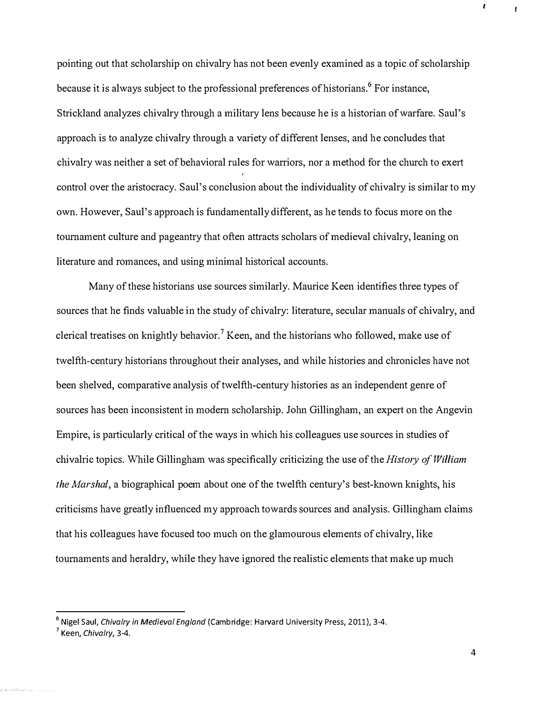pointing out that scholarship on chivalry has not been evenly examined as a topic of scholarship because it is always subject to the professional preferences of historians.<sup>6</sup> For instance, Strickland analyzes chivalry through a military lens because he is a historian of warfare. Saul's approach is to analyze chivalry through a variety of different lenses, and he concludes that chivalry was neither a set of behavioral rules for warriors, nor a method for the church to exert control over the aristocracy. Saul's conclusion about the individuality of chivalry is similar to my own. However, Saul's approach is fundamentally different, as he tends to focus more on the tournament culture and pageantry that often attracts scholars of medieval chivalry, leaning on literature and romances, and using minimal historical accounts.

Many of these historians use sources similarly. Maurice Keen identifies three types of sources that he finds valuable in the study of chivalry: literature, secular manuals of chivalry, and clerical treatises on knightly behavior.<sup>7</sup> Keen, and the historians who followed, make use of twelfth-century historians throughout their analyses, and while histories and chronicles have not been shelved, comparative analysis of twelfth-century histories as an independent genre of sources has been inconsistent in modern scholarship. John Gillingham, an expert on the Angevin Empire, is particularly critical of the ways in which his colleagues use sources in studies of chivalric topics. While Gillingham was specifically criticizing the use of the *History of William* the Marshal, a biographical poem about one of the twelfth century's best-known knights, his criticisms have greatly influenced my approach towards sources and analysis. Gillingham claims that his colleagues have focused too much on the glamourous elements of chivalry, like tournaments and heraldry, while they have ignored the realistic elements that make up much

<sup>&</sup>lt;sup>6</sup> Nigel Saul, Chivalry in Medieval England (Cambridge: Harvard University Press, 2011), 3-4.

 $<sup>7</sup>$  Keen, Chivalry, 3-4.</sup>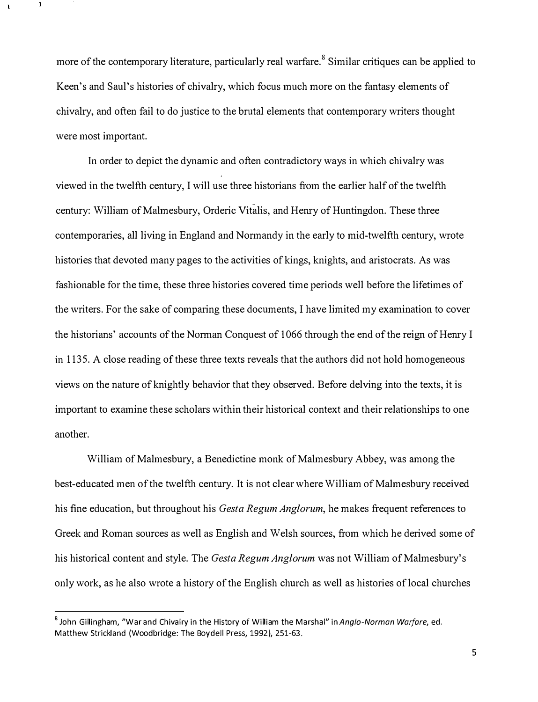more of the contemporary literature, particularly real warfare.<sup>8</sup> Similar critiques can be applied to Keen's and Saul's histories of chivalry, which focus much more on the fantasy elements of chivalry, and often fail to do justice to the brutal elements that contemporary writers thought were most important.

In order to depict the dynamic and often contradictory ways in which chivalry was viewed in the twelfth century, I will use three historians from the earlier half of the twelfth century: William of Malmesbury, Orderic Vitalis, and Hemy of Huntingdon. These three contemporaries, all living in England and Normandy in the early to mid-twelfth century, wrote histories that devoted many pages to the activities of kings, knights, and aristocrats. As was fashionable for the time, these three histories covered time periods well before the lifetimes of the writers. For the sake of comparing these documents, I have limited my examination to cover the historians' accounts of the Norman Conquest of 1066 through the end of the reign of Henry I in 1135. A close reading of these three texts reveals that the authors did not hold homogeneous views on the nature of knightly behavior that they observed. Before delving into the texts, it is important to examine these scholars within their historical context and their relationships to one another.

William of Malmesbury, a Benedictine monk of Malmesbury Abbey, was among the best-educated men of the twelfth century. It is not clear where William of Malmesbury received his fine education, but throughout his *Gesta Regum Anglorum*, he makes frequent references to Greek and Roman sources as well as English and Welsh sources, from which he derived some of his historical content and style. The *Gesta Regum Anglorum* was not William of Malmesbury's only work, as he also wrote a history of the English church as well as histories of local churches

<sup>&</sup>lt;sup>8</sup> John Gillingham, "War and Chivalry in the History of William the Marshal" in Anglo-Norman Warfare, ed. Matthew Strickland (Woodbridge: The Boydell Press, 1992), 251-63.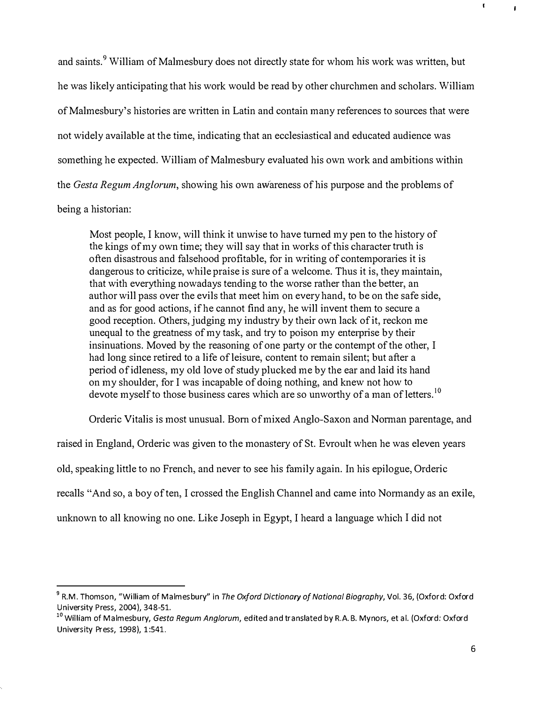and saints.<sup>9</sup> William of Malmesbury does not directly state for whom his work was written, but he was likely anticipating that his work would be read by other churchmen and scholars. William of Malmesbury's histories are written in Latin and contain many references to sources that were not widely available at the time, indicating that an ecclesiastical and educated audience was something he expected. William of Malmesbury evaluated his own work and ambitions within the Gesta Regum Anglorum, showing his own awareness of his purpose and the problems of being a historian:

Most people, I know, will think it unwise to have tumed my pen to the history of the kings of my own time; they will say that in works of this character truth is often disastrous and falsehood profitable, for in writing of contemporaries it is dangerous to criticize, while praise is sure of a welcome. Thus it is, they maintain, that with everything nowadays tending to the worse rather than the better, an author will pass over the evils that meet him on every hand, to be on the safe side, and as for good actions, if he cannot find any, he will invent them to secure a good reception. Others, judging my industry by their own lack of it, reckon me unequal to the greatness of my task, and try to poison my enterprise by their insinuations. Moved by the reasoning of one party or the contempt of the other, I had long since retired to a life of leisure, content to remain silent; but after a period of idleness, my oid love of study plucked me by the ear and laid its hand on my shoulder, for I was incapable of doing nothing, and knew not how to devote myself to those business cares which are so unworthy of a man of letters.<sup>10</sup>

Orderic Vitalis is most unusual. Born of mixed Anglo-Saxon and Norman parentage, and

raised in England, Orderic was given to the monastery of St. Evroult when he was eleven years old, speaking little to no French, and never to see his family again. In his epilogue, Orderic recalls "And so, a boy of ten, I crossed the English Channel and came into Normandy as an exile, unknown to all knowing no one. Like Joseph in Egypt, I heard a language which I did not

 $^9$  R.M. Thomson, "William of Malmesbury" in *The Oxford Dictionary of National Biography,* Vol. 36, (Oxford: Oxford University Press, 2004), 348-51.

<sup>&</sup>lt;sup>10</sup> William of Malmesbury, Gesta Regum Anglorum, edited and translated by R.A.B. Mynors, et al. (Oxford: Oxford University Press, 1998), 1:541.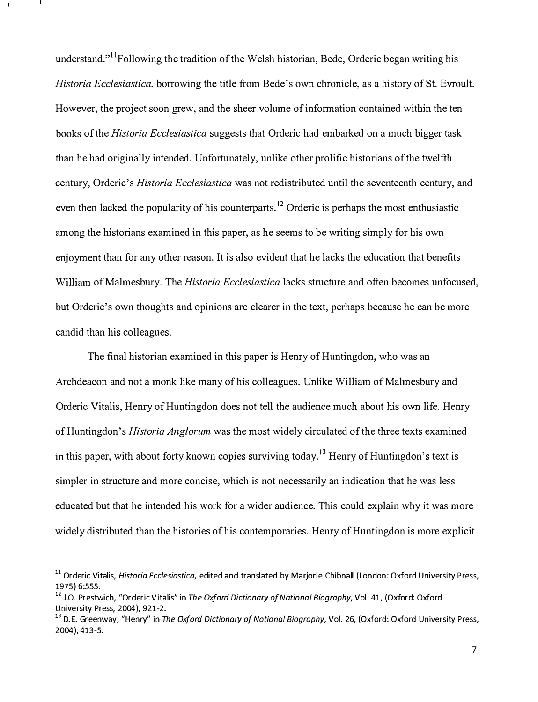understand."<sup>11</sup>Following the tradition of the Welsh historian, Bede, Orderic began writing his Historia Ecclesiastica, borrowing the title from Bede's own chronicle, as a history of St. Evroult. However, the project soon grew, and the sheer volume of information contained within the ten books of the *Historia Ecclesiastica* suggests that Orderic had embarked on a much bigger task than he had originally intended. Unfortunately, unlike other prolific historians of the twelfth century, Orderic's *Historia Ecclesiastica* was not redistributed until the seventeenth century, and even then lacked the popularity of his counterparts.<sup>12</sup> Orderic is perhaps the most enthusiastic among the historians examined in this paper, as he seems to be writing simply for his own enjoyment than for any other reason. It is also evident that he lacks the education that benefits William of Malmesbury. The *Historia Ecclesiastica* lacks structure and often becomes unfocused, but Orderic's own thoughts and opinions are clearer in the text, perhaps because he can be more candid than his colleagues.

The final historian examined in this paper is Henry of Huntingdon, who was an Archdeacon and not a monk like many of his colleagues. Unlike William of Malmesbury and Orderic Vitalis, Henry of Huntingdon does not tell the audience much about his own life. Henry of Huntingdon's *Historia Anglorum* was the most widely circulated of the three texts examined in this paper, with about forty known copies surviving today.<sup>13</sup> Henry of Huntingdon's text is simpler in structure and more concise, which is not necessarily an indication that he was less educated but that he intended his work for a wider audience. This could explain why it was more widely distributed than the histories of his contemporaries. Henry of Huntingdon is more explicit

<sup>&</sup>lt;sup>11</sup> Orderic Vitalis, Historia Ecclesiastica, edited and translated by Marjorie Chibnall (London: Oxford University Press, 1975) 6:555.

<sup>&</sup>lt;sup>12</sup> J.O. Prestwich, "Orderic Vitalis" in The Oxford Dictionary of National Biography, Vol. 41, (Oxford: Oxford University Press, 2004), 921-2.

<sup>&</sup>lt;sup>13</sup> D.E. Greenway, "Henry" in The Oxford Dictionary of Notional Biography, Vol. 26, (Oxford: Oxford University Press, 2004), 413-5.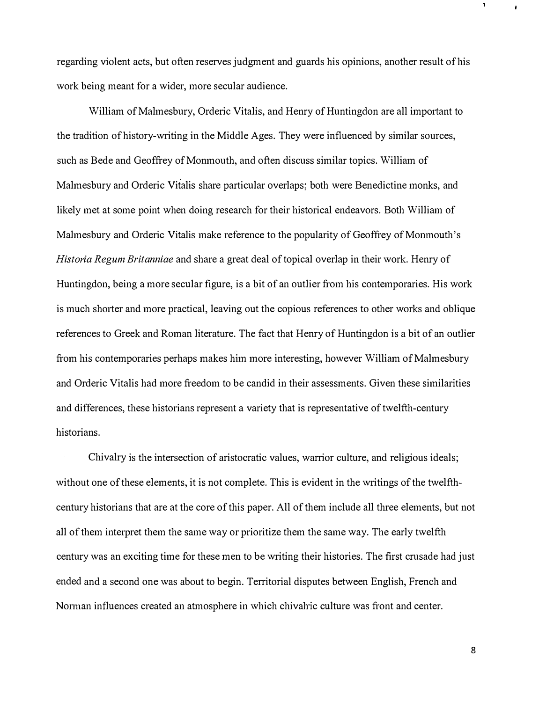regarding violent acts, but often reserves judgment and guards his opinions, another result of his work being meant for a wider, more secular audience.

William of Malmesbury, Orderic Vitalis, and Henry of Huntingdon are all important to the tradition of history-writing in the Middle Ages. They were influenced by similar sources, such as Bede and Geoffrey of Monmouth, and often discuss similar topics. William of Malmesbury and Orderic Vitalis share particular overlaps; both were Benedictine monks, and likely met at some point when doing research for their historical endeavors. Both William of Malmesbury and Orderic Vitalis make reference to the popularity of Geoffrey of Monmouth's Historia Regum Britanniae and share a great deal of topical overlap in their work. Henry of Huntingdon, being a more secular figure, is a bit of an outlier from his contemporaries. His work is much shorter and more practical, leaving out the copious references to other works and oblique references to Greek and Roman literature. The fact that Henry of Huntingdon is a bit of an outlier from his contemporaries perhaps makes him more interesting, however William of Malmesbury and Orderic Vitalis had more freedom to be candid in their assessments. Given these similarities and differences, these historians represent a variety that is representative of twelfth-century historians.

Chivalry is the intersection of aristocratic values, warrior culture, and religious ideals; without one of these elements, it is not complete. This is evident in the writings of the twelfthcentury historians that are at the core of this paper. All of them include all three elements, but not all of them interpret them the same way or prioritize them the same way. The early twelfth century was an exciting time for these men to be writing their histories. The first crusade had just ended and a second one was about to begin. Territorial disputes between English, French and Norman influences created an atmosphere in which chivahic culture was front and center.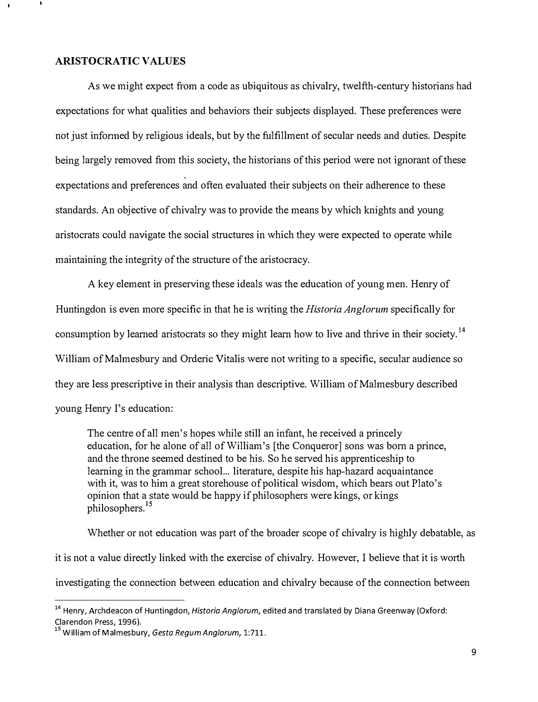#### ARISTOCRATIC VALVES

As we might expect from a code as ubiquitous as chivalry, twelfth-century historians had expectations for what qualities and behaviors their subjects displayed. These preferences were not just informed by religious ideals, but by the fulfillment of secular needs and duties. Despite being largely removed from this society, the historians of this period were not ignorant of these expectations and preferences and often evaluated their subjects on their adherence to these standards. An objective of chivalry was to provide the means by which knights and young aristocrats could navigate the social structures in which they were expected to operate while maintaining the integrity of the structure of the aristocracy.

A key element in preserving these ideals was the education of young men. Henry of Huntingdon is even more specific in that he is writing the *Historia Anglorum* specifically for consumption by learned aristocrats so they might learn how to live and thrive in their society.<sup>14</sup> William of Malmesbury and Orderic Vitalis were not writing to a specific, secular audience so they are less prescriptive in their analysis than descriptive. William of Malmesbury described young Henry I's education:

The centre of all men's hopes while still an infant, he received a princely education, for he alone of all of William's [the Conqueror] sons was born a prince, and the throne seemed destined to be his. So he served his apprenticeship to learning in the grammar school... literature, despite his hap-hazard acquaintance with it, was to him a great storehouse of political wisdom, which bears out Plato's opinion that a state would be happy if philosophers were kings, or kings philosophers.<sup>15</sup>

Whether or not education was part of the broader scope of chivalry is highly debatable, as it is not a value directly linked with the exercise of chivalry. However, I believe that it is worth investigating the connection between education and chivalry because of the connection between

<sup>&</sup>lt;sup>14</sup> Henry, Archdeacon of Huntingdon, *Historia Anglorum*, edited and translated by Diana Greenway (Oxford: Clarendon Press, 1996).

<sup>&</sup>lt;sup>15</sup> William of Malmesbury, Gesta Regum Anglorum, 1:711.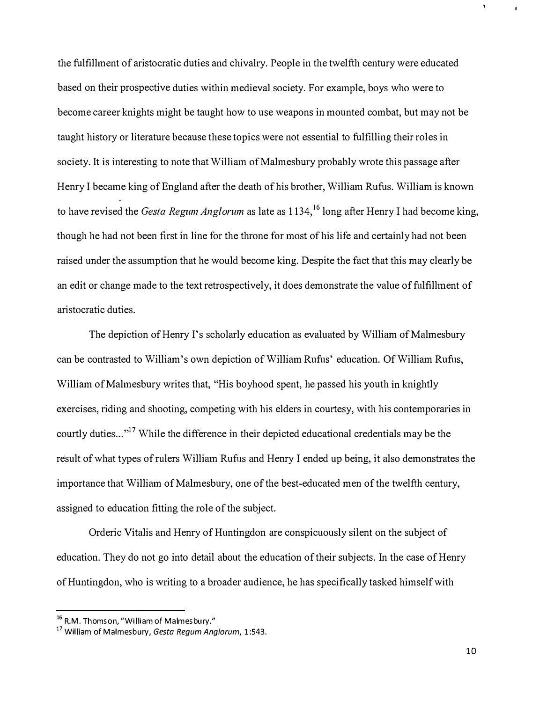the fulfillment of aristocratic duties and chivalry. People in the twelfth century were educated based on their prospective duties within medieval society. For example, boys who were to become career knights might be taught how to use weapons in mounted combat, but may not be taught history or literature because these topics were not essential to fulfilling their roles in society. It is interesting to note that William of Malmesbury probably wrote this passage after Henry I became king of England after the death of his brother, William Rufus. William is known to have revised the *Gesta Regum Anglorum* as late as  $1134$ ,<sup>16</sup> long after Henry I had become king, though he had not been first in line for the throne for most of his life and certainly had not been raised under the assumption that he would become king. Despite the fact that this may clearly be an edit or change made to the text retrospectively, it does demonstrate the value of fulfilhnent of aristocratic duties.

The depiction of Henry I's scholarly education as evaluated by William of Malmesbury can be contrasted to William's own depiction of William Rufus' education. Of William Rufus, William of Malmesbury writes that, "His boyhood spent, he passed his youth in knightly exercises, riding and shooting, competing with his elders in courtesy, with his contemporaries in courtly duties...<sup>"<sup>17</sup> While the difference in their depicted educational credentials may be the</sup> result of what types of rulers William Rufus and Henry I ended up being, it also demonstrates the importance that William of Malmesbury, one of the best-educated men of the twelfth century, assigned to education fitting the role of the subject.

Orderic Vitalis and Henry of Huntingdon are conspicuously silent on the subject of education. They do not go into detail about the education of their subjects. In the case of Henry of Huntingdon, who is writing to a broader audience, he has specifically tasked himself with

<sup>&</sup>lt;sup>16</sup> R.M. Thomson, "William of Malmesbury."

<sup>&</sup>lt;sup>17</sup> William of Malmesbury, Gesta Regum Anglorum, 1:543.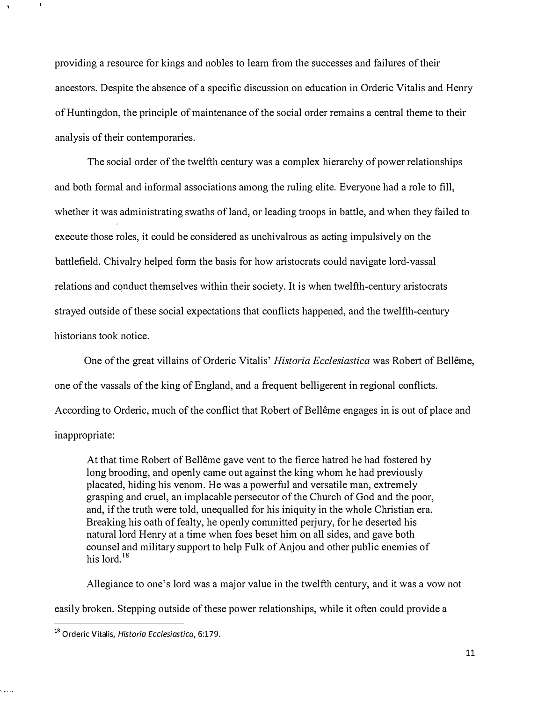providing a resource for kings and nobles to learn from the successes and failures of their ancestors. Despite the absence of a specific discussion on education in Orderic Vitalis and Henry of Huntingdon, the principle of maintenance of the social order remains a central theme to their analysis of their contemporaries.

The social order of the twelfth century was a complex hierarchy of power relationships and both formal and infonnal associations among the ruling elite. Everyone had a role to fill, whether it was administrating swaths of land, or leading troops in battle, and when they failed to execute those roles, it could be considered as unchivalrous as acting impulsively on the battlefield. Chivalry helped form the basis for how aristocrats could navigate lord-vassal relations and conduct themselves within their society. It is when twelfth-century aristocrats strayed outside of these social expectations that conflicts happened, and the twelfth-century historians took notice.

One of the great villains of Orderic Vitalis' Historia Ecclesiastica was Robert of Bellême, one of the vassals of the king of England, and a frequent belligerent in regional conflicts. According to Orderic, much of the conflict that Robert of Belleme engages in is out of place and inappropriate:

At that time Robert of Belleme gave vent to the fierce hatred he had fostered by long brooding, and openly came out against the king whom he had previously placated, hiding his venom. He was a powerful and versatile man, extremely grasping and cruel, an implacable persecutor of the Church of God and the poor, and, if the truth were told, unequalled for his iniquity in the whole Christian era. Breaking his oath of fealty, he openly committed perjury, for he deserted his natural lord Henry at a time when foes beset him on all sides, and gave both counsel and military support to help Fulk of Anjou and other public enemies of his lord.<sup>18</sup>

Allegiance to one's lord was a major value in the twelfth century, and it was a vow not easily broken. Stepping outside of these power relationships, while it often could provide a

<sup>&</sup>lt;sup>18</sup> Orderic Vitalis, Historia Ecclesiastica, 6:179.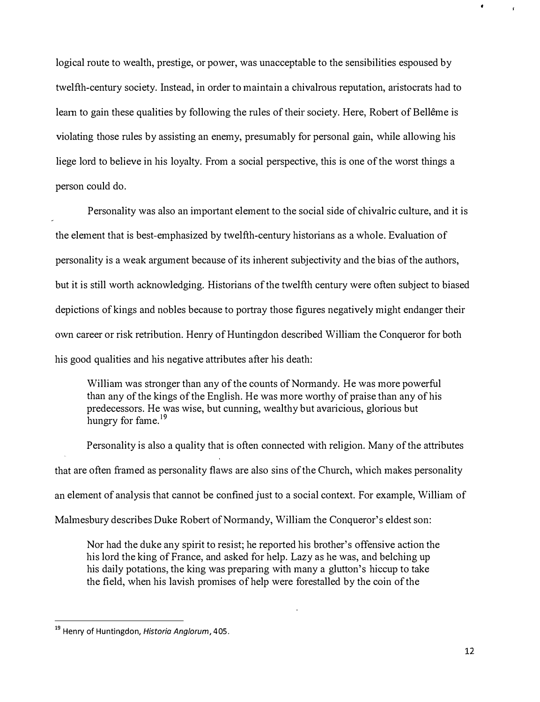logical route to wealth, prestige, or power, was unacceptable to the sensibilities espoused by twelfth-century society. Instead, in order to maintain a chivalrous reputation, mistocrats had to learn to gain these qualities by following the rules of their society. Here, Robert of Bellême is violating those rules by assisting an enemy, presumably for personal gain, while allowing his liege lord to believe in his loyalty. From a social perspective, this is one of the worst things a person could do.

Personality was also an important element to the social side of chivalric culture, and it is the element that is best-emphasized by twelfth-century historians as a whole. Evaluation of personality is a weak argument because of its inherent subjectivity and the bias of the authors, but it is still worth acknowledging. Historians of the twelfth century were often subject to biased depictions of kings and nobles because to portray those figures negatively might endanger their own career or risk retribution. Henry of Huntingdon described William the Conqueror for both his good qualities and his negative attributes after his death:

William was stronger than any of the counts of Normandy. He was more powerful than any of the kings of the English. He was more worthy of praise than any of his predecessors. He was wise, but cunning, wealthy but avaricious, glorious but hungry for fame.<sup>19</sup>

Personality is also a quality that is often connected with religion. Many of the attributes that are often framed as personality flaws are also sins of the Church, which makes personality an element of analysis that cannot be confined just to a social context. For example, William of Malmesbury describes Duke Robert of Normandy, William the Conqueror's eldest son:

Nor had the duke any spirit to resist; he reported his brother's offensive action the his lord the king of France, and asked for help. Lazy as he was, and belching up his daily potations, the king was preparing with many a glutton's hiccup to take the field, when his lavish promises of help were forestalled by the coin of the

<sup>&</sup>lt;sup>19</sup> Henry of Huntingdon, Historia Anglorum, 405.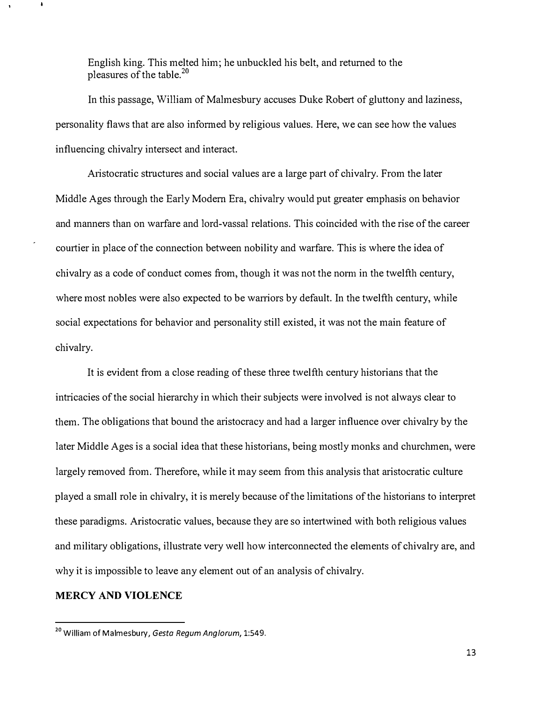English king. This melted him; he unbuckled his belt, and returned to the pleasures of the table.2o

In this passage, William of Malmesbury accuses Duke Robert of gluttony and laziness, personality flaws that are also informed by religious values. Here, we can see how the values influencing chivalry intersect and interact.

Aristocratic structures and social values are a large part of chivalry. From the later Middle Ages through the Early Modern Era, chivalry would put greater emphasis on behavior and manners than on warfare and lord-vassal relations. This coincided with the rise of the career courtier in place of the connection between nobility and warfare. This is where the idea of chivalry as a code of conduct comes from, though it was not the norm in the twelfth century, where most nobles were also expected to be warriors by default. In the twelfth century, while social expectations for behavior and personality still existed, it was not the main feature of chivalry.

It is evident from a close reading of these three twelfth century historians that the intricacies of the social hierarchy in which their subjects were involved is not always clear to them. The obligations that bound the aristocracy and had a larger influence over chivalry by the later Middle Ages is a social idea that these historians, being mostly monks and churchmen, were largely removed from. Therefore, while it may seem from this analysis that aristocratic culture played a small role in chivalry, it is merely because of the limitations of the historians to interpret these paradigms. A ristocratic values, because they are so intertwined with both religious values and military obligations, illustrate very well how interconnected the elements of chivalry are, and why it is impossible to leave any element out of an analysis of chivalry.

### MERCY AND VIOLENCE

<sup>&</sup>lt;sup>20</sup> William of Malmesbury, Gesta Regum Anglorum, 1:549.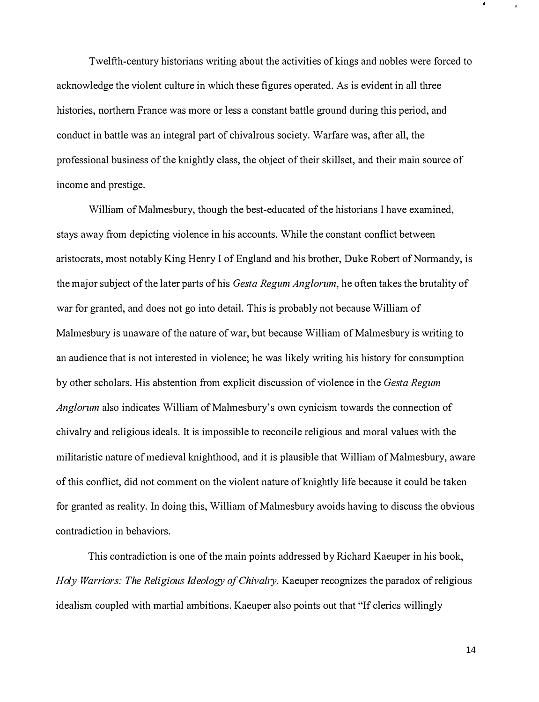Twelfth-century historians writing about the activities of kings and nobles were forced to acknowledge the violent culture in which these figures operated. As is evident in all three histories, northern France was more or less a constant battle ground during this period, and conduct in battle was an integral part of chivalrous society. Warfare was, after all, the professional business of the knightly class, the object of their skillset, and their main source of income and prestige.

William of Malmesbury, though the best-educated of the historians I have examined, stays away from depicting violence in his accounts. While the constant conflict between aristocrats, most notably King Henry I of England and his brother, Duke Robert of Normandy, is the major subject of the later parts of his *Gesta Regum Anglorum*, he often takes the brutality of war for granted, and does not go into detail. This is probably not because William of Malmesbury is unaware of the nature of war, but because William of Malmesbury is writing to an audience that is not interested in violence; he was likely writing his history for consumption by other scholars. His abstention from explicit discussion of violence in the Gesta Regum Anglorum also indicates William of Malmesbury's own cynicism towards the connection of chivalry and religious ideals. It is impossible to reconcile religious and moral values with the militaristic nature of medieval knighthood, and it is plausible that William of Malmesbury, aware of this conflict, did not comment on the violent nature of knightly life because it could be taken for granted as reality. In doing this, William of Malmesbury avoids having to discuss the obvious contradiction in behaviors.

This contradiction is one of the main points addressed by Richard Kaeuper in his book, Holy Warriors: The Religious Ideology of Chivalry. Kaeuper recognizes the paradox of religious idealism coupled with martial ambitions. Kaeuper also points out that "If clerics willingly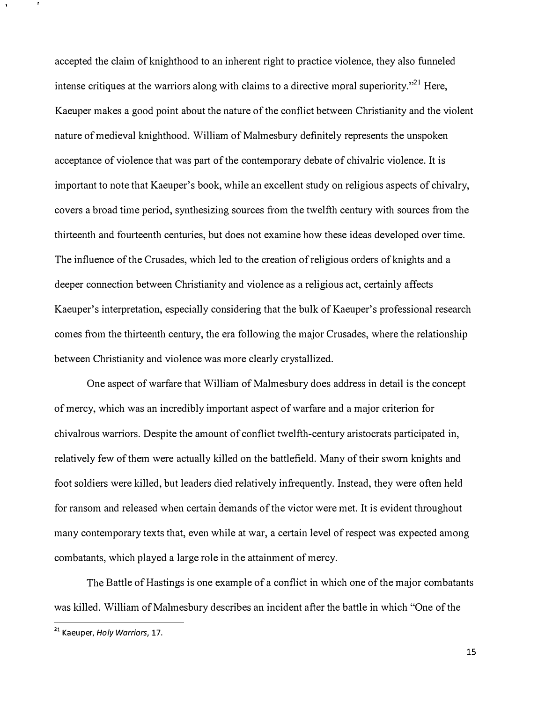accepted the claim of knighthood to an inherent right to practice violence, they also funneled intense critiques at the warriors along with claims to a directive moral superiority."<sup>21</sup> Here, Kaeuper makes a good point about the nature of the conflict between Christianity and the violent nature of medieval knighthood. William of Malmesbury definitely represents the unspoken acceptance of violence that was part of the contemporary debate of chivalric violence. It is important to note that Kaeuper's book, while an excellent study on religious aspects of chivalry, covers a broad time period, synthesizing sources from the twelfth century with sources from the thirteenth and fourteenth centuries, but does not examine how these ideas developed over time. The influence of the Crusades, which led to the creation of religious orders of knights and a deeper connection between Christianity and violence as a religious act, certainly affects Kaeuper's interpretation, especially considering that the bulk of Kaeuper's professional research comes from the thirteenth century, the era following the major Crusades, where the relationship between Christianity and violence was more clearly crystallized.

One aspect of warfare that William of Malmesbury does address in detail is the concept of mercy, which was an incredibly important aspect of warfare and a major criterion for chivalrous warriors. Despite the amount of conflict twelfth-century aristocrats participated in, relatively few of them were actually killed on the battlefield. Many of their sworn knights and foot soldiers were killed, but leaders died relatively infrequently. Instead, they were often held for ransom and released when certain demands of the victor were met. It is evident throughout many contemporary texts that, even while at war, a certain level of respect was expected among combatants, which played a large role in the attainment of mercy.

The Battle of Hastings is one example of a conflict in which one of the major combatants was killed. William of Malmesbury describes an incident after the battle in which "One of the

<sup>&</sup>lt;sup>21</sup> Kaeuper, Holy Warriors, 17.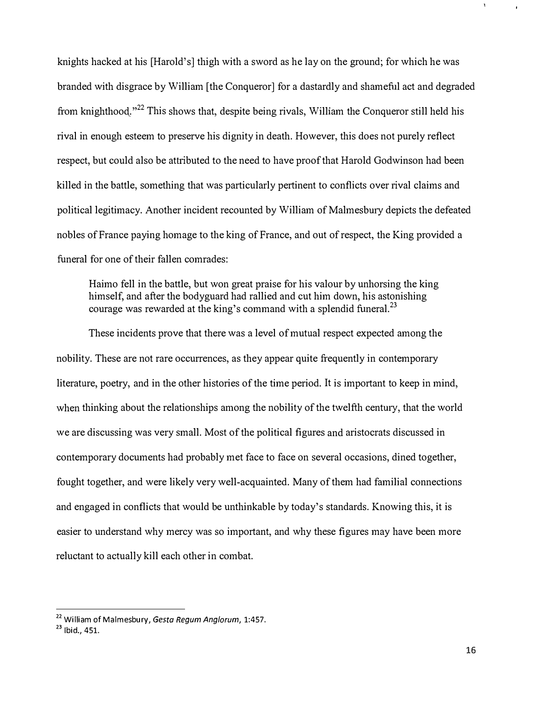knights hacked at his [Harold's] thigh with a sword as he lay on the ground; for which he was branded with disgrace by William [the Conqueror] for a dastardly and shameful act and degraded from knighthood.<sup> $,22$ </sup> This shows that, despite being rivals, William the Conqueror still held his rival in enough esteem to preserve his dignity in death. However, this does not purely reflect respect, but could also be attributed to the need to have proof that Harold Godwinson had been killed in the battle, something that was particularly pertinent to conflicts over rival claims and political legitimacy. Another incident recounted by William of Malmesbury depicts the defeated nobles of France paying homage to the king of France, and out of respect, the King provided a funeral for one of their fallen comrades:

Haimo fell in the battle, but won great praise for his valour by unhorsing the king himself, and after the bodyguard had rallied and cut him down, his astonishing courage was rewarded at the king's command with a splendid funeral.<sup>23</sup>

These incidents prove that there was a level of mutual respect expected among the nobility. These are not rare occurrences, as they appear quite frequently in contemporary literature, poetry, and in the other histories of the time period. It is important to keep in mind, when thinking about the relationships among the nobility of the twelfth century, that the world we are discussing was very small. Most of the political figures and aristocrats discussed in contemporary documents had probably met face to face on several occasions, dined together, fought together, and were likely very well-acquainted. Many of them had familial connections and engaged in conflicts that would be unthinkable by today's standards. Knowing this, it is easier to understand why mercy was so important, and why these figures may have been more reluctant to actually kill each other in combat.

<sup>&</sup>lt;sup>22</sup> William of Malmesbury, Gesta Regum Anglorum, 1:457.

 $23$  Ibid., 451.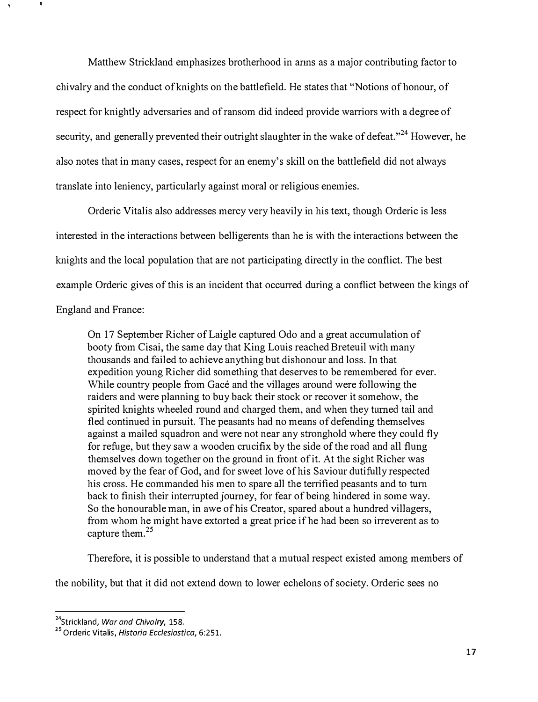Matthew Strickland emphasizes brotherhood in anns as a major contributing factor to chivalry and the conduct of knights on the battlefield. He states that "Notions of honour, of respect for knightly adversaries and of ransom did indeed provide warriors with a degree of security, and generally prevented their outright slaughter in the wake of defeat.<sup> $,24}$ </sup> However, he also notes that in many cases, respect for an enemy's skill on the battlefield did not always translate into leniency, particularly against moral or religious enemies.

Orderic Vitalis also addresses mercy very heavily in his text, though Orderic is less interested in the interactions between belligerents than he is with the interactions between the knights and the local population that are not participating directly in the conflict. The best example Orderic gives of this is an incident that occurred during a conflict between the kings of England and France:

On 17 September Richer of Laigle captured Odo and a great accumulation of booty from Cisai, the same day that King Louis reached Breteuil with many thousands and failed to achieve anything but dishonour and loss. In that expedition young Richer did something that deserves to be remembered for ever. While country people from Gacé and the villages around were following the raiders and were planning to buy back their stock or recover it somehow, the spirited knights wheeled round and charged them, and when they turned tail and fled continued in pursuit. The peasants had no means of defending themselves against a mailed squadron and were not near any stronghold where they could  $fly$ for refuge, but they saw a wooden crucifix by the side of the road and all flung themselves down together on the ground in front of it. At the sight Richer was moved by the fear of God, and for sweet love of his Saviour dutifully respected his cross. He commanded his men to spare all the terrified peasants and to tum back to finish their interrupted journey, for fear of being hindered in some way. So the honourable man, in awe of his Creator, spared about a hundred villagers, from whom he might have extorted a great price if he had been so irreverent as to capture them.<sup>25</sup>

Therefore, it is possible to understand that a mutual respect existed among members of

the nobility, but that it did not extend down to lower echelons of society. Orderic sees no

<sup>&</sup>lt;sup>24</sup>Strickland, War and Chivalry, 158.

<sup>&</sup>lt;sup>25</sup> Orderic Vitalis, Historia Ecclesiastica, 6:251.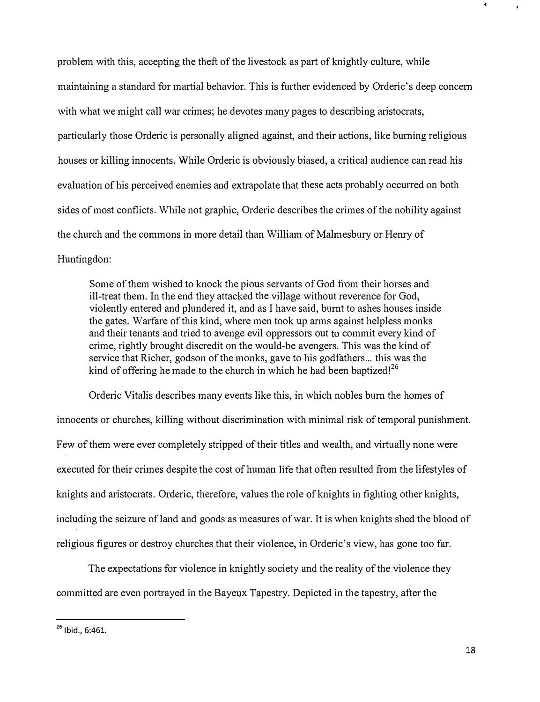problem with this, accepting the theft of the livestock as part of knightly culture, while maintaining a standard for martial behavior. This is further evidenced by Orderic's deep concern with what we might call war crimes; he devotes many pages to describing aristocrats, particularly those Orderic is personally aligned against, and their actions, like burning religious houses or killing innocents. While Orderic is obviously biased, a critical audience can read his evaluation of his perceived enemies and extrapolate that these acts probably occurred on both sides of most conflicts. While not graphic, Orderic describes the crimes of the nobility against the church and the commons in more detail than William of Malmesbury or Henry of Huntingdon:

Some of them wished to knock the pious servants of God from their horses and ill-treat them. In the end they attacked the village without reverence for God, violently entered and plundered it, and as I have said, burnt to ashes houses inside the gates. Warfare of this kind, where men took up arms against helpless monks and their tenants and tried to avenge evil oppressors out to commit every kind of crime, rightly brought discredit on the would-be avengers. This was the kind of service that Richer, godson of the monks, gave to his godfathers... this was the kind of offering he made to the church in which he had been baptized!<sup>26</sup>

Orderic Vitalis describes many events like this, in which nobles burn the homes of innocents or churches, killing without discrimination with minimal risk of temporal punishment. Few of them were ever completely stripped of their titles and wealth, and virtually none were executed for their crimes despite the cost of human life that often resulted from the lifestyles of knights and aristocrats. Orderic, therefore, values the role of knights in fighting other knights, induding the seizure of land and goods as measures of war. It is when knights shed the blood of religious figures or destroy churches that their violence, in Orderic's view, has gone too far.

The expectations for violence in knightly society and the reality of the violence they committed are even portrayed in the Bayeux Tapestry. Depicted in the tapestry, after the

 $^{26}$  Ibid., 6:461.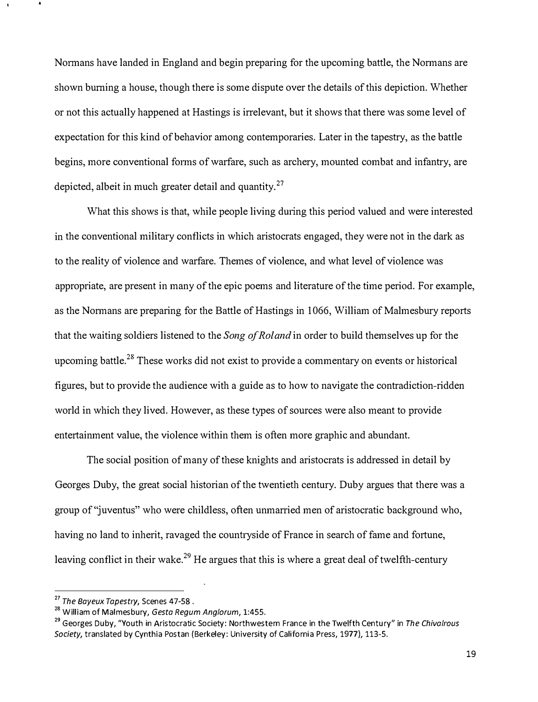Normans have landed in England and begin preparing for the upcoming battle, the Normans are shown burning a house, though there is some dispute over the details of this depiction. Whether or not this actually happened at Hastings is irrelevant, but it shows that there was some level of expectation for this kind of behavior among contemporaries. Later in the tapestry, as the battle begins, more conventional forms of warfare, such as archery, mounted combat and infantry, are depicted, albeit in much greater detail and quantity.<sup>27</sup>

What this shows is that, while people living during this period valued and were interested in the conventional military conflicts in which aristocrats engaged, they were not in the dark as to the reality of violence and warfare. Themes of violence, and what level of violence was appropriate, are present in many of the epic poems and literature of the time period. For example, as the Normans are preparing for the Battle of Hastings in 1066, William of Malmesbury reports that the waiting soldiers listened to the Song of Roland in order to build themselves up for the upcoming battle.<sup>28</sup> These works did not exist to provide a commentary on events or historical figures, but to provide the audience with a guide as to how to navigate the contradiction-ridden world in which they lived. However, as these types of sources were also meant to provide entertainment value, the violence within them is often more graphic and abundant.

The social position of many of these knights and aristocrats is addressed in detail by Georges Duby, the great social historian of the twentieth century. Duby argues that there was a group of'juventus" who were childless, often unmarried men of aristocratic background who, having no land to inherit, ravaged the countryside of France in search of fame and fortune, leaving conflict in their wake.<sup>29</sup> He argues that this is where a great deal of twelfth-century

<sup>&</sup>lt;sup>27</sup> The Bayeux Tapestry, Scenes 47-58.

<sup>&</sup>lt;sup>28</sup> William of Malmesbury, Gesta Regum Anglorum, 1:455.

<sup>&</sup>lt;sup>29</sup> Georges Duby, "Youth in Aristocratic Society: Northwestern France in the Twelfth Century" in The Chivalrous Society, translated by Cynthia Postan (Berkeley: University of California Press, 1977), 113-5.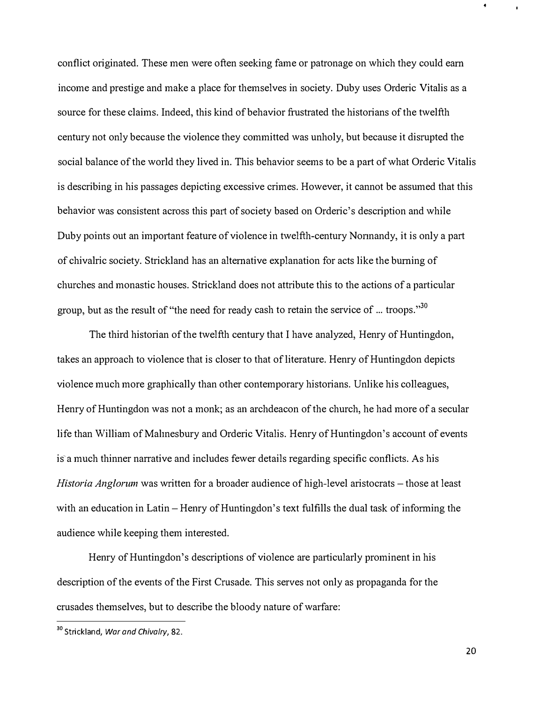conflict originated. These men were often seeking fame or patronage on which they could earn income and prestige and make a place for themselves in society. Duby uses Orderic Vitalis as a source for these claims. Indeed, this kind of behavior frustrated the historians of the twelfth century not only because the violence they committed was unholy, but because it disrupted the social balance of the world they lived in. This behavior seems to be a part of what Orderic Vitalis is describing in his passages depicting excessive crimes. However, it cannot be assumed that this behavior was consistent across this part of society based on Orderic's description and while Duby points out an important feature of violence in twelfth-century Normandy, it is only a part of chivalric society. Strickland has an alternative explanation for acts like the burning of churches and monastic houses. Strickland does not attribute this to the actions of a particular group, but as the result of "the need for ready cash to retain the service of  $\ldots$  troops."<sup>30</sup>

The third historian of the twelfth century that I have analyzed, Henry of Huntingdon, takes an approach to violence that is closer to that of literature. Henry of Huntingdon depicts violence much more graphically than other contemporary historians. Unlike his colleagues, Henry of Huntingdon was not a monk; as an archdeacon of the church, he had more of a secular life than William of Mahnesbury and Orderic Vitalis. Henry of Huntingdon's account of events is a much thinner narrative and includes fewer details regarding specific conflicts. As his Historia Anglorum was written for a broader audience of high-level aristocrats - those at least with an education in Latin – Henry of Huntingdon's text fulfills the dual task of informing the audience while keeping them interested.

Henry of Huntingdon's descriptions of violence are particularly prominent in his description of the events of the First Crusade. This serves not only as propaganda for the crusades themselves, but to describe the bloody nature of warfare:

<sup>&</sup>lt;sup>30</sup> Strickland, War and Chivalry, 82.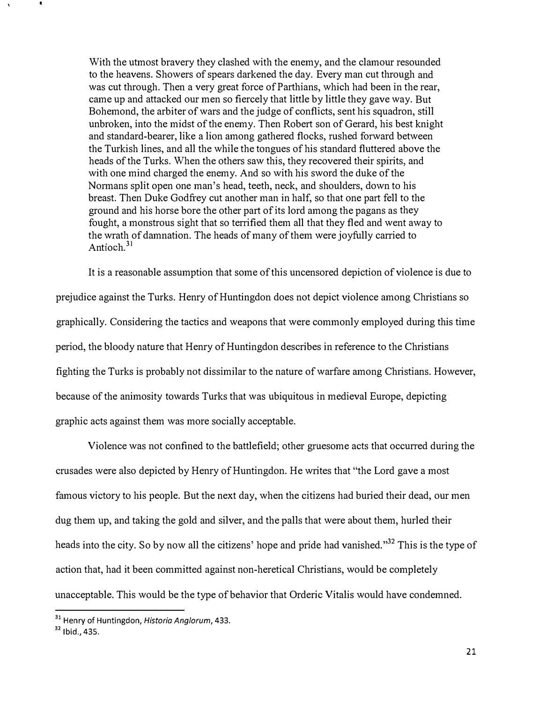With the utmost bravery they clashed with the enemy, and the clamour resounded to the heavens. Showers of spears darkened the day. Every man cut through and was cut through. Then a very great force of Parthians, which had been in the rear, came up and attacked our men so fiercely that little by little they gave way. But Bohemond, the arbiter of wars and the judge of conflicts, sent his squadron, still unbroken, into the midst of the enemy. Then Robert son of Gerard, his best knight and standard-bearer, like a lion among gathered flocks, rushed forward between the Turkish lines, and all the while the tongues of his standard fluttered above the heads of the Turks. When the others saw this, they recovered their spirits, and with one mind charged the enemy. And so with his sword the duke of the Normans split open one man's head, teeth, neck, and shoulders, down to his breast. Then Duke Godfrey cut another man in half, so that one part fell to the ground and his horse bore the other part of its lord among the pagans as they fought, a monstrous sight that so terrified them all that they fled and went away to the wrath of damnation. The heads of many of them were joyfully carried to Antioch.<sup>31</sup>

It is a reasonable assumption that some of this uncensored depiction of violence is due to prejudice against the Turks. Henry of Huntingdon does not depict violence among Christians so graphically. Considering the tactics and weapons that were commonly employed during this time period, the bloody nature that Henry of Huntingdon describes in reference to the Christians fighting the Turks is probably not dissimilar to the nature of warfare among Christians. However, because of the animosity towards Turks that was ubiquitous in medieval Europe, depicting graphic acts against them was more socially acceptable.

Violence was not confined to the battlefield; other gruesome acts that occurred during the crusades were also depicted by Henry of Huntingdon. He writes that "the Lord gave a most famous victory to his people. But the next day, when the citizens had buried their dead, our men dug them up, and taking the gold and silver, and the palls that were about them, hurled their heads into the city. So by now all the citizens' hope and pride had vanished."<sup>32</sup> This is the type of action that, had it been committed against non-heretical Christians, would be completely unacceptable. This would be the type of behavior that Orderic Vitalis would have condemned.

<sup>&</sup>lt;sup>31</sup> Henry of Huntingdon, Historia Anglorum, 433.

<sup>32</sup> Ibid., 435.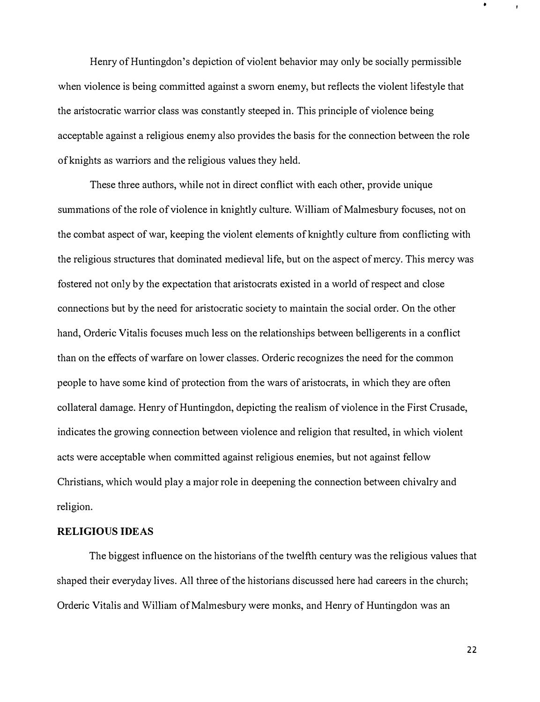Henry of Huntingdon's depiction of violent behavior may only be socially pennissible when violence is being committed against a sworn enemy, but reflects the violent lifestyle that the m1stocratic warrior class was constantly steeped in. This principle of violence being acceptable against a religious enemy also provides the basis for the connection between the role of knights as warriors and the religious values they held.

These three authors, while not in direct conflict with each other, provide unique summations of the role of violence in knightly culture. William of Malmesbury focuses, not on the combat aspect of war, keeping the violent elements of knightly culture from conflicting with the religious structures that dominated medieval life, but on the aspect of mercy. This mercy was fostered not only by the expectation that mistocrats existed in a world of respect and close connections but by the need for aristocratic society to maintain the social order. On the other hand, Orderic Vitalis focuses much less on the relationships between belligerents in a conflict than on the effects of warfare on lower classes. Orderic recognizes the need for the common people to have some kind of protection from the wars of aristocrats, in which they are often collateral damage. Henry of Huntingdon, depicting the realism of violence in the First Crusade, indicates the growing connection between violence and religion that resulted, in which violent acts were acceptable when committed against religious enemies, but not against fellow Christians, which would play a major role in deepening the connection between chivalry and religion.

#### RELIGIOUS IDEAS

The biggest influence on the historians of the twelfth century was the religious values that shaped their everyday lives. All three of the historians discussed here had careers in the church; Orderic Vitalis and William of Malmesbury were monks, and Henry of Huntingdon was an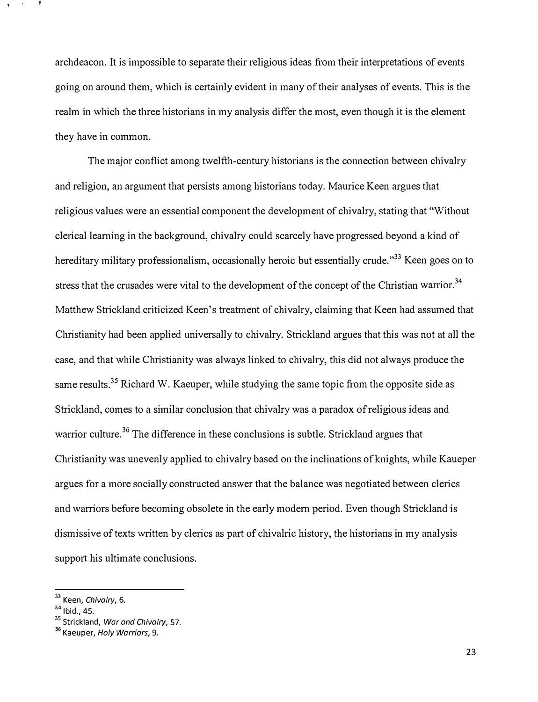archdeacon. It is impossible to separate their religious ideas from their interpretations of events going on around them, which is certainly evident in many of their analyses of events. This is the realm in which the three historians in my analysis differ the most, even though it is the element they have in common.

The major conflict among twelfth-century historians is the connection between chivalry and religion, an argument that persists among historians today. Maurice Keen argues that religious values were an essential component the development of chivalry, stating that "Without clerical learning in the background, chivalry could scarcely have progressed beyond a kind of hereditary military professionalism, occasionally heroic but essentially crude."<sup>33</sup> Keen goes on to stress that the crusades were vital to the development of the concept of the Christian warrior.<sup>34</sup> Matthew Strickland criticized Keen's treatment of chivalry, claiming that Keen had assumed that Christianity had been applied universally to chivalry. Strickland argues that this was not at all the case, and that while Christianity was always linked to chivalry, this did not always produce the same results.<sup>35</sup> Richard W. Kaeuper, while studying the same topic from the opposite side as Strickland, comes to a similar conclusion that chivalry was a paradox of religious ideas and warrior culture.<sup>36</sup> The difference in these conclusions is subtle. Strickland argues that Christianity was unevenly applied to chivalry based on the inclinations of knights, while Kaueper argues for a more socially constructed answer that the balance was negotiated between clerics and warriors before becoming obsolete in the early modem period. Even though Strickland is dismissive of texts written by clerics as part of chivalric history, the historians in my analysis support his ultimate conclusions.

<sup>&</sup>lt;sup>33</sup> Keen, Chivalry, 6.

<sup>34</sup> Ibid., 45.

<sup>&</sup>lt;sup>35</sup> Strickland, War and Chivalry, 57.

<sup>&</sup>lt;sup>36</sup> Kaeuper, Holy Warriors, 9.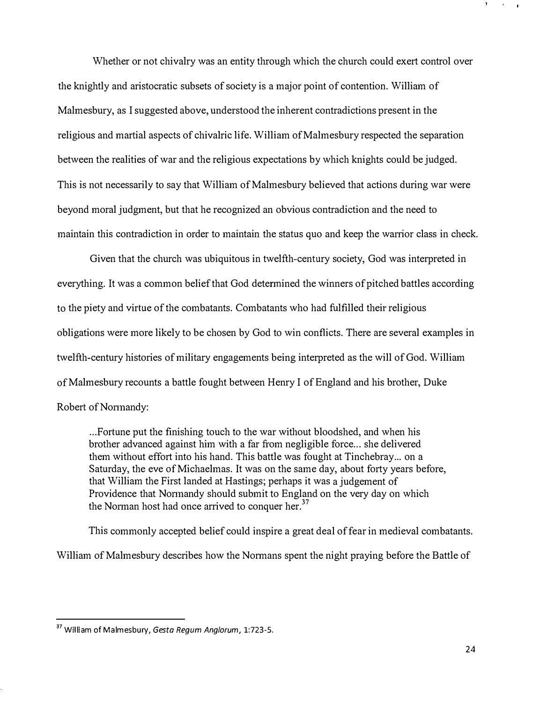Whether or not chivalry was an entity through which the church could exert control over the knightly and aristocratic subsets of society is a major point of contention. William of Malmesbury, as I suggested above, understood the inherent contradictions present in the religious and martial aspects of chivalric life. William of Malmesbury respected the separation between the realities of war and the religious expectations by which knights could be judged. This is not necessarily to say that William of Malmesbury believed that actions during war were beyond moral judgment, but that he recognized an obvious contradiction and the need to maintain this contradiction in order to maintain the status quo and keep the wanior class in check.

Given that the church was ubiquitous in twelfth-century society, God was interpreted in everything. It was a common belief that God determined the winners of pitched battles according to the piety and virtue of the combatants. Combatants who had fulfilled their religious obligations were more likely to be chosen by God to win conflicts. There are several examples in twelfth-century histories of military engagements being interpreted as the will of God. William of Malmesbury recounts a battle fought between Henry I of England and his brother, Duke Robert of Normandy:

... Fortune put the finishing touch to the war without bloodshed, and when his brother advanced against him with a far from negligible force... she delivered them without effort into his hand. This battle was fought at Tinchebray ... on a Saturday, the eve of Michaelmas. It was on the same day, about forty years before, that William the First landed at Hastings; perhaps it was a judgement of Providence that Normandy should submit to England on the very day on which the Norman host had once arrived to conquer her.<sup>37</sup>

This commonly accepted belief could inspire a great deal of fear in medieval combatants.

William of Malmesbury describes how the Normans spent the night praying before the Battle of

<sup>&</sup>lt;sup>37</sup> William of Malmesbury, Gesta Regum Anglorum, 1:723-5.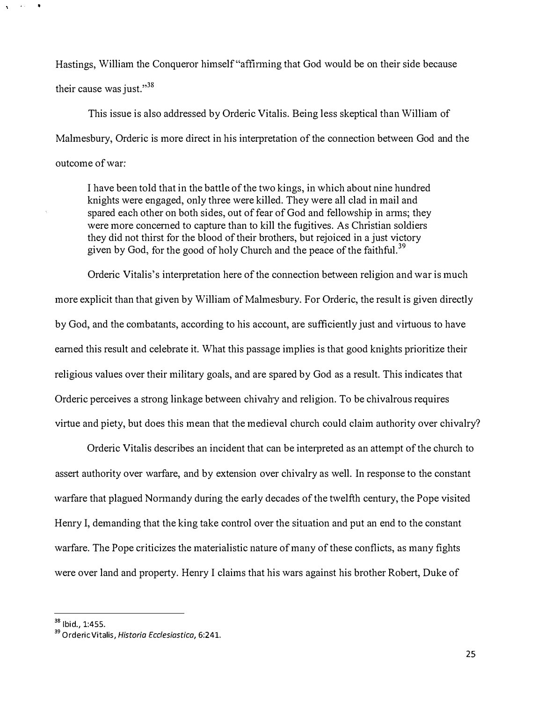Hastings, William the Conqueror himself "affinning that God would be on their side because their cause was just." $38$ 

This issue is also addressed by Orderic Vitalis. Being less skeptical than William of Malmesbury, Orderic is more direct in his interpretation of the connection between God and the outcome of war:

I have been told that in the battle of the two kings, in which about nine hundred knights were engaged, only three were killed. They were all clad in mail and spared each other on both sides, out of fear of God and fellowship in anns; they were more concemed to capture than to kill the fugitives. As Christian soldiers they did not thirst for the blood of their brothers, but rejoiced in a just victory given by God, for the good of holy Church and the peace of the faithful.<sup>39</sup>

Orderic Vitalis' s interpretation here of the connection between religion and war is much more explicit than that given by William of Malmesbury. For Orderic, the result is given directly by God, and the combatants, according to his account, are sufficiently just and virtuous to have eamed this result and celebrate it. What this passage implies is that good knights prioritize their religious values over their military goals, and are spared by God as a result. This indicates that Orderic perceives a strong linkage between chivahy and religion. To be chivalrous requires virtue and piety, but does this mean that the medieval church could claim authority over chivalry?

Orderic Vitalis describes an incident that can be interpreted as an attempt of the church to assert authority over warfare, and by extension over chivalry as well. In response to the constant warfare that plagued Nonnandy during the early decades of the twelfth century, the Pope visited Henry I, demanding that the king take control over the situation and put an end to the constant warfare. The Pope criticizes the materialistic nature of many of these conflicts, as many fights were over land and property. Henry I claims that his wars against his brother Robert, Duke of

 $38$  Ibid., 1:455.

<sup>&</sup>lt;sup>39</sup> Orderic Vitalis, Historia Ecclesiastica, 6:241.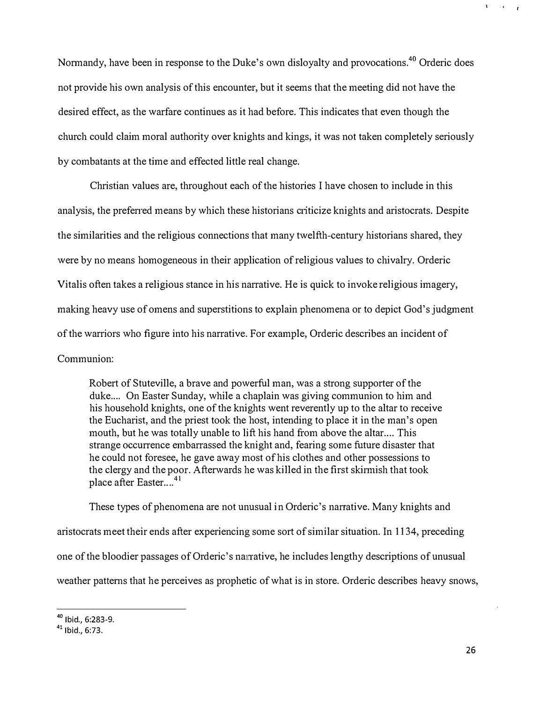Normandy, have been in response to the Duke's own disloyalty and provocations.<sup>40</sup> Orderic does not provide his own analysis of this encounter, but it seems that the meeting did not have the desired effect, as the warfare continues as it had before. This indicates that even though the church could claim moral authority over knights and kings, it was not taken completely seriously by combatants at the time and effected little real change.

Christian values are, throughout each of the histories I have chosen to include in this analysis, the preferred means by which these historians criticize knights and aristocrats. Despite the similarities and the religious connections that many twelfth-century historians shared, they were by no means homogeneous in their application of religious values to chivalry. Orderic Vitalis often takes a religious stance in his narrative. He is quick to invoke religious imagery, making heavy use of omens and superstitions to explain phenomena or to depict God's judgment of the warriors who figure into his narrative. For example, Orderic describes an incident of Communion:

Robert of Stuteville, a brave and powerful man, was a strong supporter of the duke.... On Easter Sunday, while a chaplain was giving communion to him and his household knights, one of the knights went reverently up to the altar to receive the Eucharist, and the priest took the host, intending to place it in the man's open mouth, but he was totally unable to lift his hand from above the altar.... This strange occurrence embarrassed the knight and, fearing some future disaster that he could not foresee, he gave away most of his clothes and other possessions to the clergy and the poor. Afterwards he was killed in the first skinnish that took place after Easter....<sup>41</sup>

These types of phenomena are not unusual in Orderic's narrative. Many knights and aristocrats meet their ends after experiencing some sort of similar situation. In 1134, preceding one of the bloodier passages of Orderic's narrative, he includes lengthy descriptions of unusual weather pattems that he perceives as prophetic of what is in store. Orderic describes heavy snows,

40 Ibid., 6:283-9.

<sup>41</sup> Ibid., 6:73.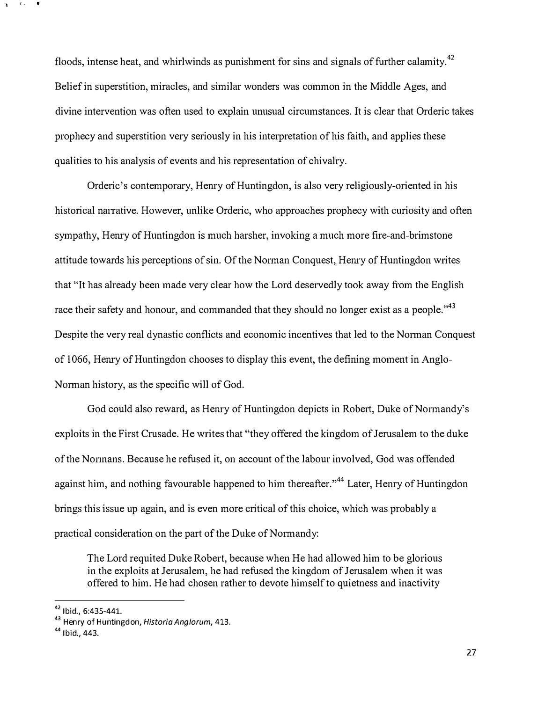floods, intense heat, and whirlwinds as punishment for sins and signals of further calamity.<sup>42</sup> Belief in superstition, miracles, and similar wonders was common in the Middle Ages, and divine intervention was often used to explain unusual circumstances. It is clear that Orderic takes prophecy and superstition very seriously in his interpretation of his faith, and applies these qualities to his analysis of events and his representation of chivalry.

Orderic's contemporary, Hemy of Huntingdon, is also very religiously-oriented in his historical narrative. However, unlike Orderic, who approaches prophecy with curiosity and often sympathy, Hemy of Huntingdon is much harsher, invoking a much more fire-and-brimstone attitude towards his perceptions of sin. Of the Norman Conquest, Henry of Huntingdon writes that "It has already been made very clear how the Lord deservedly took away from the English race their safety and honour, and commanded that they should no longer exist as a people." $^{43}$ Despite the very real dynastic conflicts and economic incentives that led to the Norman Conquest of 1066, Hemy of Huntingdon chooses to display this event, the defining moment in Anglo-Norman history, as the specific will of God.

God could also reward, as Henry of Huntingdon depicts in Robert, Duke of Normandy's exploits in the First Crusade. He writes that "they offered the kingdom of Jerusalem to the duke of the Nonnans. Because he refused it, on account of the labour involved, God was offended against him, and nothing favourable happened to him thereafter."<sup>44</sup> Later, Henry of Huntingdon brings this issue up again, and is even more critical of this choice, which was probably a practical consideration on the part of the Duke of Normandy:

The Lord requited Duke Robert, because when He had allowed him to be glorious in the exploits at Jerusalem, he had refused the kingdom of Jerusalem when it was offered to him. He had chosen rather to devote himself to quietness and inactivity

 $42$  Ibid., 6:435-441.

<sup>&</sup>lt;sup>43</sup> Henry of Huntingdon, Historia Anglorum, 413.

<sup>&</sup>lt;sup>44</sup> Ibid., 443.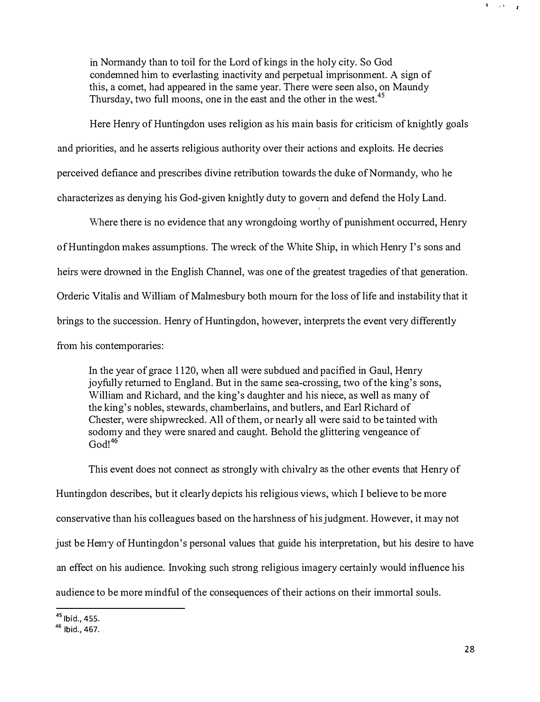in Normandy than to toil for the Lord of kings in the holy city. So God condemned him to everlasting inactivity and perpetual imprisonment. A sign of this, a comet, had appeared in the same year. There were seen also, on Maundy Thursday, two full moons, one in the east and the other in the west.<sup>45</sup>

Here Henry of Huntingdon uses religion as his main basis for criticism of knightly goals and priorities, and he asserts religious authority over their actions and exploits. He decries perceived defiance and prescribes divine retribution towards the duke of Nonnandy, who he characterizes as denying his God-given knightly duty to govern and defend the Holy Land.

Where there is no evidence that any wrongdoing worthy of punishment occurred, Henry of Huntingdon makes assumptions. The wreck of the White Ship, in which Henry 1's sons and heirs were drowned in the English Channel, was one of the greatest tragedies of that generation. Orderic Vitalis and William of Malmesbury both mourn for the loss of life and instability that it brings to the succession. Henry of Huntingdon, however, interprets the event very differently from his contemporaries:

In the year of grace 1120, when all were subdued and pacified in Gaul, Henry joyfully returned to England. But in the same sea-crossing, two of the king's sons, William and Richard, and the king's daughter and his niece, as well as many of the king's nobles, stewards, chamberlains, and butlers, and Earl Richard of Chester, were shipwrecked. All of them, or nearly all were said to be tainted with sodomy and they were snared and caught. Behold the glittering vengeance of  $God!^{46}$ 

This event does not connect as strongly with chivalry as the other events that Henry of Huntingdon describes, but it clearly depicts his religious views, which I believe to be more conservative than his colleagues based on the harshness of his judgment. However, it may not just be Hemy of Huntingdon's personal values that guide his interpretation, but his desire to have an effect on his audience. Invoking such strong religious imagery certainly would influence his audience to be more mindful of the consequences of their actions on their immortal souls.

<sup>&</sup>lt;sup>45</sup> lbid., 455.

<sup>&</sup>lt;sup>46</sup> Ibid., 467.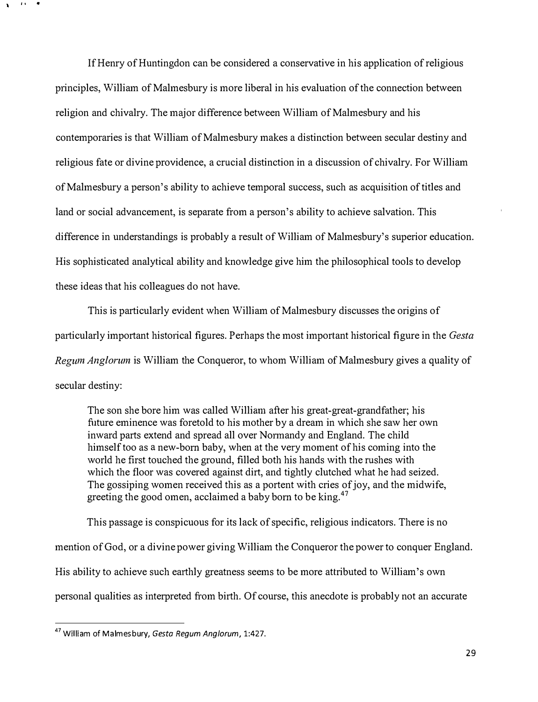If Henry of Huntingdon can be considered a conservative in his application of religious principles, William of Malmesbury is more liberal in his evaluation of the connection between religion and chivalry. The major difference between William of Malmesbury and his contemporaries is that William of Malmesbury makes a distinction between secular destiny and religious fate or divine providence, a crucial distinction in a discussion of chivalry. For William of Malmesbury a person's ability to achieve temporal success, such as acquisition of titles and land or social advancement, is separate from a person's ability to achieve salvation. This difference in understandings is probably a result of William of Malmesbury's superior education. His sophisticated analytical ability and knowledge give him the philosophical tools to develop these ideas that his colleagues do not have.

This is particularly evident when William of Malmesbury discusses the origins of particularly important historical figures. Perhaps the most important historical figure in the Gesta Regum Anglorum is William the Conqueror, to whom William of Malmesbury gives a quality of secular destiny:

The son she bore him was called William after his great-great-grandfather; his future eminence was foretold to his mother by a dream in which she saw her own inward parts extend and spread all over Normandy and England. The child himself too as a new-born baby, when at the very moment of his coming into the world he first touched the ground, filled both his hands with the rushes with which the floor was covered against dirt, and tightly clutched what he had seized. The gossiping women received this as a portent with cries of joy, and the midwife, greeting the good omen, acclaimed a baby born to be king.<sup>47</sup>

This passage is conspicuous for its lack of specific, religious indicators. There is no mention of God, or a divine power giving William the Conqueror the power to conquer England. His ability to achieve such earthly greatness seems to be more attributed to William's own personal qualities as interpreted from birth. Of course, this anecdote is probably not an accurate

<sup>&</sup>lt;sup>47</sup> William of Malmesbury, Gesta Regum Anglorum, 1:427.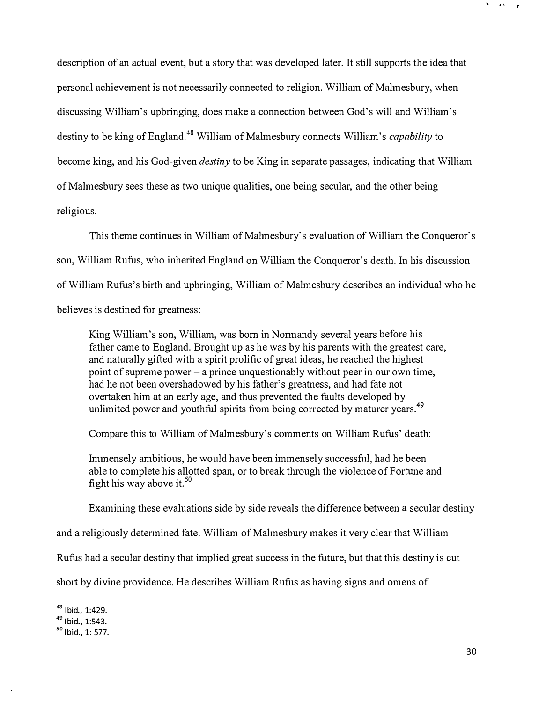description of an actual event, but a story that was developed later. It still supports the idea that personal achievement is not necessarily connected to religion. William of Malmesbury, when discussing William's upbringing, does make a connection between God's will and William's destiny to be king of England.<sup>48</sup> William of Malmesbury connects William's *capability* to become king, and his God-given *destiny* to be King in separate passages, indicating that William of Malmesbury sees these as two unique qualities, one being secular, and the other being religious.

This theme continues in William of Malmesbury's evaluation of William the Conqueror's son, William Rufus, who inherited England on William the Conqueror's death. In his discussion of William Rufus's birth and upbringing, William of Malmesbury describes an individual who he believes is destined for greatness:

King William's son, William, was born in Nonnandy several years before his father came to England. Brought up as he was by his parents with the greatest care, and naturally gifted with a spirit prolific of great ideas, he reached the highest point of supreme power - a prince unquestionably without peer in our own time, had he not been overshadowed by his father's greatness, and had fate not overtaken him at an early age, and thus prevented the faults developed by unlimited power and youthful spirits from being corrected by maturer years.<sup>49</sup>

Compare this to William of Malmesbury's comments on William Rufus' death:

Immensely ambitious, he would have been immensely successful, had he been able to complete his allotted span, or to break through the violence of Fortune and fight his way above it.<sup>50</sup>

Examining these evaluations side by side reveals the difference between a secular destiny

and a religiously detennined fate. William of Malmesbury makes it very clear that William

Rufus had a secular destiny that implied great success in the future, but that this destiny is cut

short by divine providence. He describes William Rufus as having signs and omens of

<sup>48</sup> Ibid., 1:429.

<sup>49</sup> Ibid., 1:543.

<sup>50</sup> Ibid., 1: 577.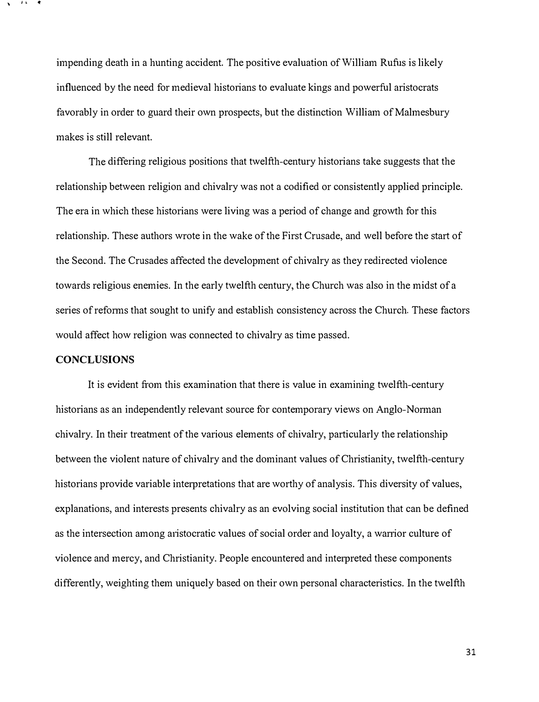impending death in a hunting accident. The positive evaluation of William Rufus is likely influenced by the need for medieval historians to evaluate kings and powerful aristocrats favorably in order to guard their own prospects, but the distinction William of Malmesbury makes is still relevant.

The differing religious positions that twelfth-century historians take suggests that the relationship between religion and chivalry was not a codified or consistently applied principle. The era in which these historians were living was a period of change and growth for this relationship. These authors wrote in the wake of the First Crusade, and well before the start of the Second. The Crusades affected the development of chivalry as they redirected violence towards religious enemies. In the early twelfth century, the Church was also in the midst of a series of refonns that sought to unify and establish consistency across the Church. These factors would affect how religion was connected to chivalry as time passed.

#### **CONCLUSIONS**

It is evident from this examination that there is value in examining twelfth-century historians as an independently relevant source for contemporary views on Anglo-Nonnan chivalry. In their treatment of the various elements of chivalry, particularly the relationship between the violent nature of chivalry and the dominant values of Christianity, twelfth-century historians provide variable interpretations that are worthy of analysis. This diversity of values, explanations, and interests presents chivalry as an evolving social institution that can be defined as the intersection among atistocratic values of social order and loyalty, a wanior culture of violence and mercy, and Christianity. People encountered and interpreted these components differently, weighting them uniquely based on their own personal characteristics. In the twelfth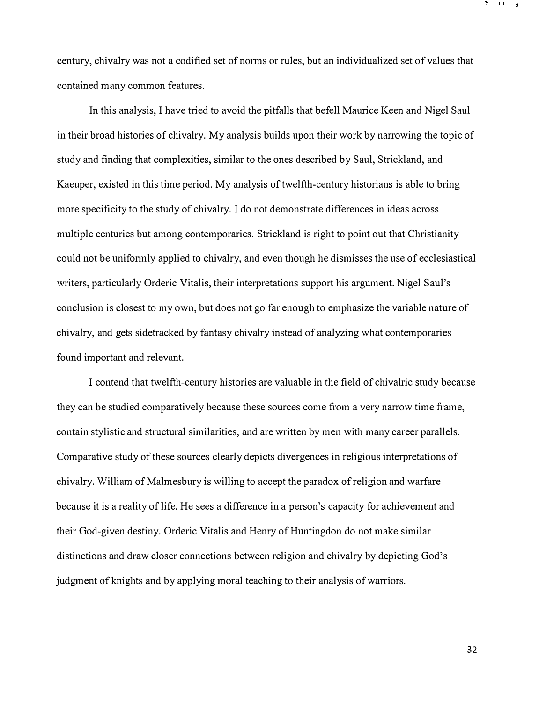century, chivalry was not a codified set of norms or rules, but an individualized set of values that contained many common features.

In this analysis, I have tried to avoid the pitfalls that befell Maurice Keen and Nigel Saul in their broad histories of chivalry. My analysis builds upon their work by narrowing the topic of study and finding that complexities, similar to the ones described by Saul, Strickland, and Kaeuper, existed in this time period. My analysis of twelfth-century historians is able to bring more specificity to the study of chivalry. I do not demonstrate differences in ideas across multiple centuries but among contemporaries. Strickland is right to point out that Christianity could not be uniformly applied to chivalry, and even though he dismisses the use of ecclesiastical writers, particularly Orderic Vitalis, their interpretations support his argument. Nigel Saul's conclusion is closest to my own, but does not go far enough to emphasize the variable nature of chivalry, and gets sidetracked by fantasy chivalry instead of analyzing what contemporaries found important and relevant.

I contend that twelfth-century histories are valuable in the field of chivalric study because they can be studied comparatively because these sources come from a very narrow time frame, contain stylistic and structural similarities, and are written by men with many career parallels. Comparative study of these sources clearly depicts divergences in religious interpretations of chivalry. William of Malmesbury is willing to accept the paradox of religion and warfare because it is a reality of life. He sees a difference in a person's capacity for achievement and their God-given destiny. Orderic Vitalis and Henry of Huntingdon do not make similar distinctions and draw closer connections between religion and chivalry by depicting God's judgment of knights and by applying moral teaching to their analysis of warriors.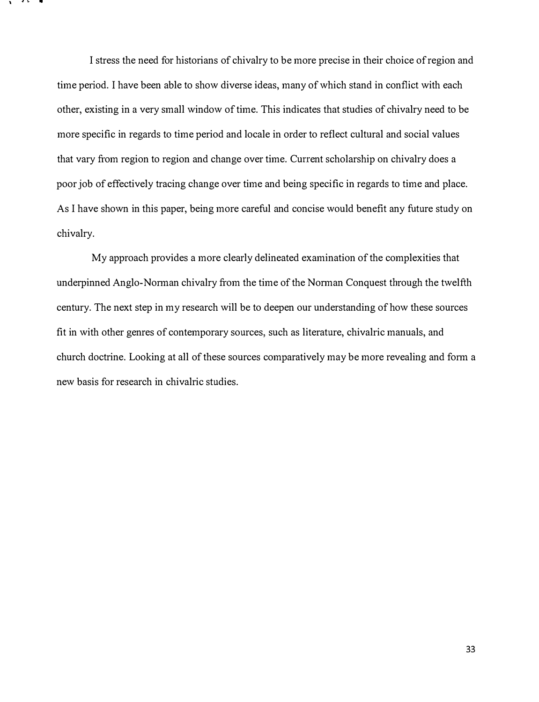I stress the need for historians of chivalry to be more precise in their choice of region and time period. I have been able to show diverse ideas, many of which stand in conflict with each other, existing in a very small window of time. This indicates that studies of chivalry need to be more specific in regards to time period and locale in order to reflect cultural and social values that vary from region to region and change over time. Current scholarship on chivalry does a poor job of effectively tracing change over time and being specific in regards to time and place. As I have shown in this paper, being more careful and concise would benefit any future study on chivalry.

My approach provides a more clearly delineated examination of the complexities that underpinned Anglo-Norman chivalry from the time of the Norman Conquest through the twelfth century. The next step in my research will be to deepen our understanding of how these sources fit in with other genres of contemporary sources, such as literature, chivalric manuals, and church doctrine. Looking at all of these sources comparatively may be more revealing and fonn a new basis for research in chivalric studies.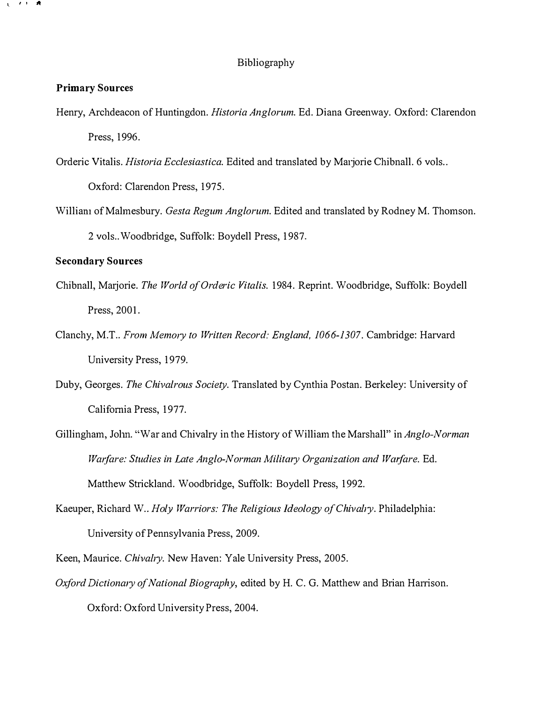#### Bibliography

#### Primary Sources

- Henry, Archdeacon of Huntingdon. Historia Anglorum. Ed. Diana Greenway. Oxford: Clarendon Press, 1996.
- Orderic Vitalis. Historia Ecclesiastica. Edited and translated by Marjorie Chibnall. 6 vols.. Oxford: Clarendon Press, 1975.
- William of Malmesbury. Gesta Regum Anglorum. Edited and translated by Rodney M. Thomson. 2 vols .. Woodbridge, Suffolk: Boydell Press, 1987.

#### Secondary Sources

- Chibnall, Marjorie. The World of Orderic Vitalis. 1984. Reprint. Woodbridge, Suffolk: Boydell Press, 2001.
- Clanchy, M.T.. From Memory to Written Record: England, 1066-1307. Cambridge: Harvard University Press, 1979.
- Duby, Georges. The Chivalrous Society. Translated by Cynthia Postan. Berkeley: University of California Press, 1977.
- Gillingham, John. "War and Chivalry in the History of William the Marshall" in Anglo-Norman Warfare: Studies in Late Anglo-Norman Military Organization and Warfare. Ed. Matthew Strickland. Woodbridge, Suffolk: Boydell Press, 1992.
- Kaeuper, Richard W.. Holy Warriors: The Religious Ideology of Chivalry. Philadelphia: University of Pennsylvania Press, 2009.
- Keen, Maurice. Chivalry. New Haven: Yale University Press, 2005.
- Oxford Dictionary of National Biography, edited by H. C. G. Matthew and Brian Harrison. Oxford: Oxford University Press, 2004.